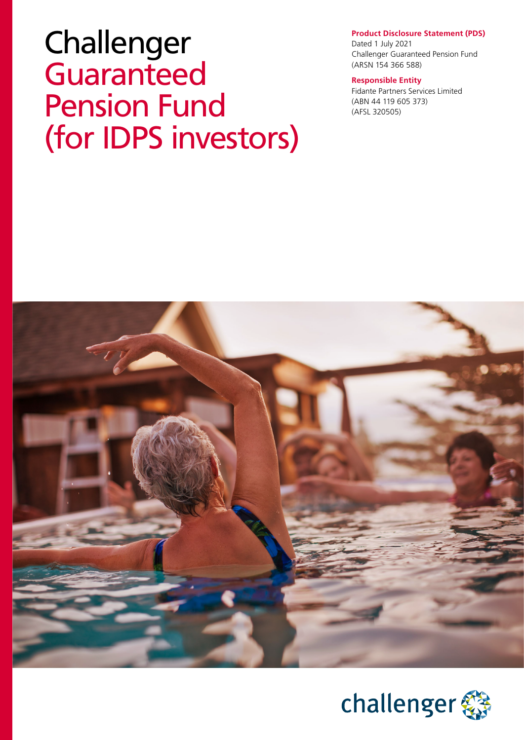# Challenger Guaranteed Pension Fund (for IDPS investors)

#### **Product Disclosure Statement (PDS)**

Dated 1 July 2021 Challenger Guaranteed Pension Fund (ARSN 154 366 588)

#### **Responsible Entity**

Fidante Partners Services Limited (ABN 44 119 605 373) (AFSL 320505)



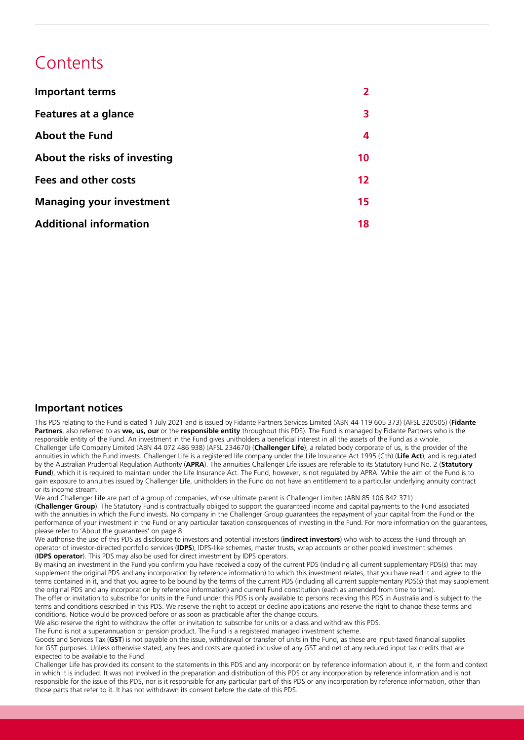## **Contents**

| <b>Important terms</b>          |    |
|---------------------------------|----|
| Features at a glance            | 3  |
| <b>About the Fund</b>           | 4  |
| About the risks of investing    | 10 |
| Fees and other costs            | 12 |
| <b>Managing your investment</b> | 15 |
| <b>Additional information</b>   | 18 |

#### **Important notices**

This PDS relating to the Fund is dated 1 July 2021 and is issued by Fidante Partners Services Limited (ABN 44 119 605 373) (AFSL 320505) (**Fidante Partners**, also referred to as **we, us, our** or the **responsible entity** throughout this PDS). The Fund is managed by Fidante Partners who is the responsible entity of the Fund. An investment in the Fund gives unitholders a beneficial interest in all the assets of the Fund as a whole. Challenger Life Company Limited (ABN 44 072 486 938) (AFSL 234670) (**Challenger Life**), a related body corporate of us, is the provider of the annuities in which the Fund invests. Challenger Life is a registered life company under the Life Insurance Act 1995 (Cth) (**Life Act**), and is regulated by the Australian Prudential Regulation Authority (**APRA**). The annuities Challenger Life issues are referable to its Statutory Fund No. 2 (**Statutory**  Fund), which it is required to maintain under the Life Insurance Act. The Fund, however, is not regulated by APRA. While the aim of the Fund is to gain exposure to annuities issued by Challenger Life, unitholders in the Fund do not have an entitlement to a particular underlying annuity contract or its income stream.

We and Challenger Life are part of a group of companies, whose ultimate parent is Challenger Limited (ABN 85 106 842 371) (**Challenger Group**). The Statutory Fund is contractually obliged to support the guaranteed income and capital payments to the Fund associated with the annuities in which the Fund invests. No company in the Challenger Group guarantees the repayment of your capital from the Fund or the performance of your investment in the Fund or any particular taxation consequences of investing in the Fund. For more information on the guarantees, please refer to 'About the guarantees' on page 8.

We authorise the use of this PDS as disclosure to investors and potential investors (**indirect investors**) who wish to access the Fund through an operator of investor-directed portfolio services (**IDPS**), IDPS-like schemes, master trusts, wrap accounts or other pooled investment schemes (**IDPS operator**). This PDS may also be used for direct investment by IDPS operators.

By making an investment in the Fund you confirm you have received a copy of the current PDS (including all current supplementary PDS(s) that may supplement the original PDS and any incorporation by reference information) to which this investment relates, that you have read it and agree to the terms contained in it, and that you agree to be bound by the terms of the current PDS (including all current supplementary PDS(s) that may supplement the original PDS and any incorporation by reference information) and current Fund constitution (each as amended from time to time). The offer or invitation to subscribe for units in the Fund under this PDS is only available to persons receiving this PDS in Australia and is subject to the

terms and conditions described in this PDS. We reserve the right to accept or decline applications and reserve the right to change these terms and conditions. Notice would be provided before or as soon as practicable after the change occurs.

We also reserve the right to withdraw the offer or invitation to subscribe for units or a class and withdraw this PDS.

The Fund is not a superannuation or pension product. The Fund is a registered managed investment scheme.

Goods and Services Tax (**GST**) is not payable on the issue, withdrawal or transfer of units in the Fund, as these are input-taxed financial supplies for GST purposes. Unless otherwise stated, any fees and costs are quoted inclusive of any GST and net of any reduced input tax credits that are expected to be available to the Fund.

Challenger Life has provided its consent to the statements in this PDS and any incorporation by reference information about it, in the form and context in which it is included. It was not involved in the preparation and distribution of this PDS or any incorporation by reference information and is not responsible for the issue of this PDS, nor is it responsible for any particular part of this PDS or any incorporation by reference information, other than those parts that refer to it. It has not withdrawn its consent before the date of this PDS.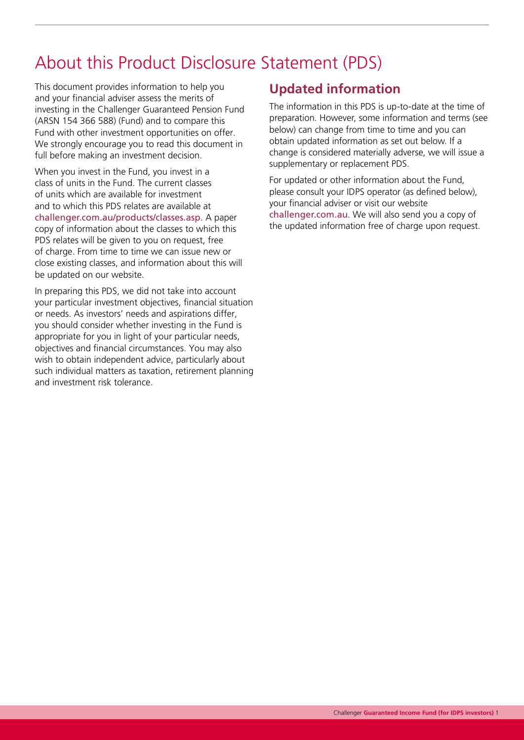## About this Product Disclosure Statement (PDS)

This document provides information to help you and your financial adviser assess the merits of investing in the Challenger Guaranteed Pension Fund (ARSN 154 366 588) (Fund) and to compare this Fund with other investment opportunities on offer. We strongly encourage you to read this document in full before making an investment decision.

When you invest in the Fund, you invest in a class of units in the Fund. The current classes of units which are available for investment and to which this PDS relates are available at [challenger.com.au/products/classes.asp](http://www.challenger.com.au/products/classes.asp). A paper copy of information about the classes to which this PDS relates will be given to you on request, free of charge. From time to time we can issue new or close existing classes, and information about this will be updated on our website.

In preparing this PDS, we did not take into account your particular investment objectives, financial situation or needs. As investors' needs and aspirations differ, you should consider whether investing in the Fund is appropriate for you in light of your particular needs, objectives and financial circumstances. You may also wish to obtain independent advice, particularly about such individual matters as taxation, retirement planning and investment risk tolerance.

## **Updated information**

The information in this PDS is up-to-date at the time of preparation. However, some information and terms (see below) can change from time to time and you can obtain updated information as set out below. If a change is considered materially adverse, we will issue a supplementary or replacement PDS.

For updated or other information about the Fund, please consult your IDPS operator (as defined below), your financial adviser or visit our website [challenger.com.au](https://www.challenger.com.au/). We will also send you a copy of the updated information free of charge upon request.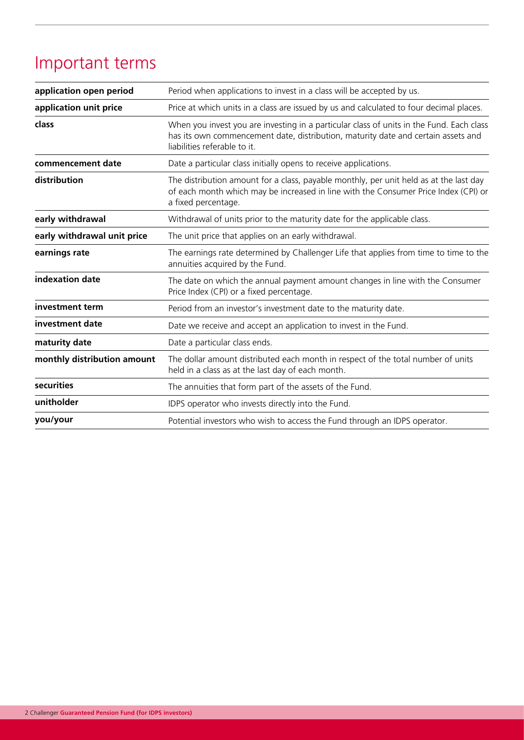## Important terms

| application open period                                                            | Period when applications to invest in a class will be accepted by us.                                                                                                                                         |  |  |
|------------------------------------------------------------------------------------|---------------------------------------------------------------------------------------------------------------------------------------------------------------------------------------------------------------|--|--|
| application unit price                                                             | Price at which units in a class are issued by us and calculated to four decimal places.                                                                                                                       |  |  |
| class                                                                              | When you invest you are investing in a particular class of units in the Fund. Each class<br>has its own commencement date, distribution, maturity date and certain assets and<br>liabilities referable to it. |  |  |
| commencement date                                                                  | Date a particular class initially opens to receive applications.                                                                                                                                              |  |  |
| distribution                                                                       | The distribution amount for a class, payable monthly, per unit held as at the last day<br>of each month which may be increased in line with the Consumer Price Index (CPI) or<br>a fixed percentage.          |  |  |
| early withdrawal                                                                   | Withdrawal of units prior to the maturity date for the applicable class.                                                                                                                                      |  |  |
| early withdrawal unit price                                                        | The unit price that applies on an early withdrawal.                                                                                                                                                           |  |  |
| earnings rate                                                                      | The earnings rate determined by Challenger Life that applies from time to time to the<br>annuities acquired by the Fund.                                                                                      |  |  |
| indexation date                                                                    | The date on which the annual payment amount changes in line with the Consumer<br>Price Index (CPI) or a fixed percentage.                                                                                     |  |  |
| investment term<br>Period from an investor's investment date to the maturity date. |                                                                                                                                                                                                               |  |  |
| investment date                                                                    | Date we receive and accept an application to invest in the Fund.                                                                                                                                              |  |  |
| maturity date                                                                      | Date a particular class ends.                                                                                                                                                                                 |  |  |
| monthly distribution amount                                                        | The dollar amount distributed each month in respect of the total number of units<br>held in a class as at the last day of each month.                                                                         |  |  |
| securities                                                                         | The annuities that form part of the assets of the Fund.                                                                                                                                                       |  |  |
| unitholder                                                                         | IDPS operator who invests directly into the Fund.                                                                                                                                                             |  |  |
| you/your                                                                           | Potential investors who wish to access the Fund through an IDPS operator.                                                                                                                                     |  |  |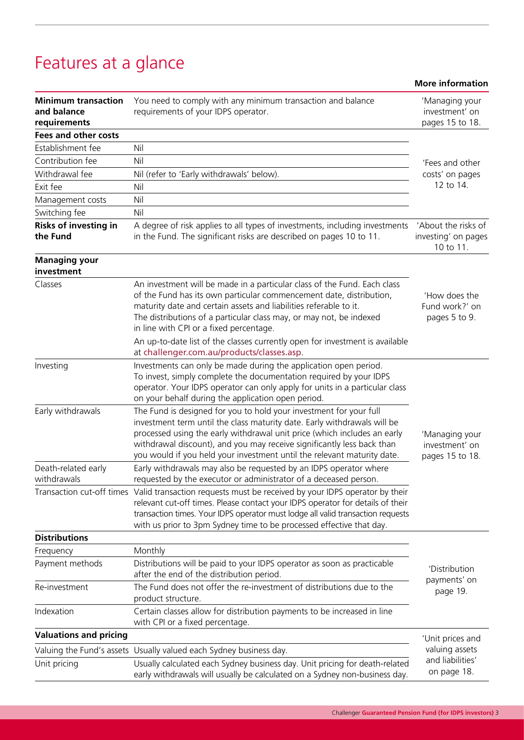## Features at a glance

|                                                           |                                                                                                                                                                                                                                                                                                                                                                                 | <b>More information</b>                                 |  |
|-----------------------------------------------------------|---------------------------------------------------------------------------------------------------------------------------------------------------------------------------------------------------------------------------------------------------------------------------------------------------------------------------------------------------------------------------------|---------------------------------------------------------|--|
| <b>Minimum transaction</b><br>and balance<br>requirements | You need to comply with any minimum transaction and balance<br>requirements of your IDPS operator.                                                                                                                                                                                                                                                                              | 'Managing your<br>investment' on<br>pages 15 to 18.     |  |
| <b>Fees and other costs</b>                               |                                                                                                                                                                                                                                                                                                                                                                                 |                                                         |  |
| Establishment fee                                         | Nil                                                                                                                                                                                                                                                                                                                                                                             |                                                         |  |
| Contribution fee                                          | Nil                                                                                                                                                                                                                                                                                                                                                                             | 'Fees and other                                         |  |
| Withdrawal fee                                            | Nil (refer to 'Early withdrawals' below).                                                                                                                                                                                                                                                                                                                                       | costs' on pages                                         |  |
| Exit fee                                                  | Nil                                                                                                                                                                                                                                                                                                                                                                             | 12 to 14.                                               |  |
| Management costs                                          | Nil                                                                                                                                                                                                                                                                                                                                                                             |                                                         |  |
| Switching fee                                             | Nil                                                                                                                                                                                                                                                                                                                                                                             |                                                         |  |
| <b>Risks of investing in</b><br>the Fund                  | A degree of risk applies to all types of investments, including investments<br>in the Fund. The significant risks are described on pages 10 to 11.                                                                                                                                                                                                                              | 'About the risks of<br>investing' on pages<br>10 to 11. |  |
| <b>Managing your</b><br>investment                        |                                                                                                                                                                                                                                                                                                                                                                                 |                                                         |  |
| Classes                                                   | An investment will be made in a particular class of the Fund. Each class<br>of the Fund has its own particular commencement date, distribution,<br>maturity date and certain assets and liabilities referable to it.<br>The distributions of a particular class may, or may not, be indexed<br>in line with CPI or a fixed percentage.                                          | 'How does the<br>Fund work?' on<br>pages 5 to 9.        |  |
|                                                           | An up-to-date list of the classes currently open for investment is available<br>at challenger.com.au/products/classes.asp.                                                                                                                                                                                                                                                      |                                                         |  |
| Investing                                                 | Investments can only be made during the application open period.<br>To invest, simply complete the documentation required by your IDPS<br>operator. Your IDPS operator can only apply for units in a particular class<br>on your behalf during the application open period.                                                                                                     | 'Managing your<br>investment' on<br>pages 15 to 18.     |  |
| Early withdrawals                                         | The Fund is designed for you to hold your investment for your full<br>investment term until the class maturity date. Early withdrawals will be<br>processed using the early withdrawal unit price (which includes an early<br>withdrawal discount), and you may receive significantly less back than<br>you would if you held your investment until the relevant maturity date. |                                                         |  |
| Death-related early<br>withdrawals                        | Early withdrawals may also be requested by an IDPS operator where<br>requested by the executor or administrator of a deceased person.                                                                                                                                                                                                                                           |                                                         |  |
|                                                           | Transaction cut-off times Valid transaction requests must be received by your IDPS operator by their<br>relevant cut-off times. Please contact your IDPS operator for details of their<br>transaction times. Your IDPS operator must lodge all valid transaction requests<br>with us prior to 3pm Sydney time to be processed effective that day.                               |                                                         |  |
| <b>Distributions</b>                                      |                                                                                                                                                                                                                                                                                                                                                                                 |                                                         |  |
| Frequency                                                 | Monthly                                                                                                                                                                                                                                                                                                                                                                         |                                                         |  |
| Payment methods                                           | Distributions will be paid to your IDPS operator as soon as practicable<br>after the end of the distribution period.                                                                                                                                                                                                                                                            | 'Distribution<br>payments' on<br>page 19.               |  |
| Re-investment                                             | The Fund does not offer the re-investment of distributions due to the<br>product structure.                                                                                                                                                                                                                                                                                     |                                                         |  |
| Indexation                                                | Certain classes allow for distribution payments to be increased in line<br>with CPI or a fixed percentage.                                                                                                                                                                                                                                                                      |                                                         |  |
| <b>Valuations and pricing</b>                             |                                                                                                                                                                                                                                                                                                                                                                                 | 'Unit prices and                                        |  |
|                                                           | Valuing the Fund's assets Usually valued each Sydney business day.                                                                                                                                                                                                                                                                                                              | valuing assets                                          |  |
| Unit pricing                                              | Usually calculated each Sydney business day. Unit pricing for death-related<br>early withdrawals will usually be calculated on a Sydney non-business day.                                                                                                                                                                                                                       | and liabilities'<br>on page 18.                         |  |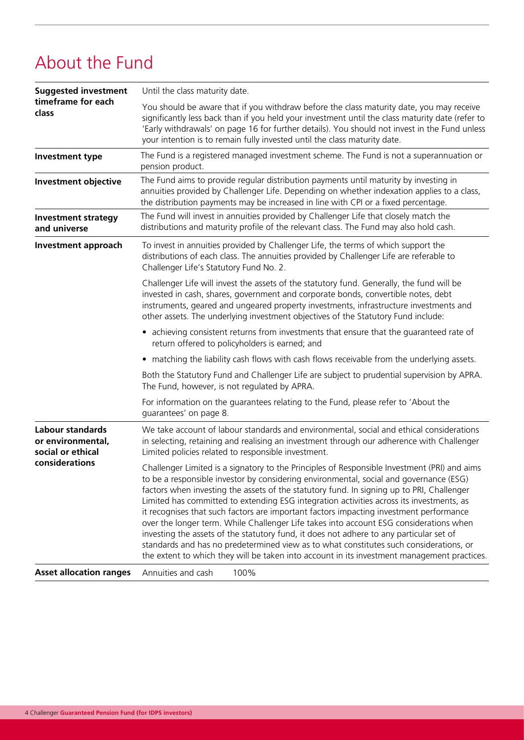## About the Fund

| <b>Suggested investment</b>                                | Until the class maturity date.                                                                                                                                                                                                                                                                                                                                                                                                                                                                                                                                                                                                                                                                                                                                                                                                                          |  |  |  |
|------------------------------------------------------------|---------------------------------------------------------------------------------------------------------------------------------------------------------------------------------------------------------------------------------------------------------------------------------------------------------------------------------------------------------------------------------------------------------------------------------------------------------------------------------------------------------------------------------------------------------------------------------------------------------------------------------------------------------------------------------------------------------------------------------------------------------------------------------------------------------------------------------------------------------|--|--|--|
| timeframe for each<br>class                                | You should be aware that if you withdraw before the class maturity date, you may receive<br>significantly less back than if you held your investment until the class maturity date (refer to<br>'Early withdrawals' on page 16 for further details). You should not invest in the Fund unless<br>your intention is to remain fully invested until the class maturity date.                                                                                                                                                                                                                                                                                                                                                                                                                                                                              |  |  |  |
| <b>Investment type</b>                                     | The Fund is a registered managed investment scheme. The Fund is not a superannuation or<br>pension product.                                                                                                                                                                                                                                                                                                                                                                                                                                                                                                                                                                                                                                                                                                                                             |  |  |  |
| <b>Investment objective</b>                                | The Fund aims to provide regular distribution payments until maturity by investing in<br>annuities provided by Challenger Life. Depending on whether indexation applies to a class,<br>the distribution payments may be increased in line with CPI or a fixed percentage.                                                                                                                                                                                                                                                                                                                                                                                                                                                                                                                                                                               |  |  |  |
| <b>Investment strategy</b><br>and universe                 | The Fund will invest in annuities provided by Challenger Life that closely match the<br>distributions and maturity profile of the relevant class. The Fund may also hold cash.                                                                                                                                                                                                                                                                                                                                                                                                                                                                                                                                                                                                                                                                          |  |  |  |
| Investment approach                                        | To invest in annuities provided by Challenger Life, the terms of which support the<br>distributions of each class. The annuities provided by Challenger Life are referable to<br>Challenger Life's Statutory Fund No. 2.                                                                                                                                                                                                                                                                                                                                                                                                                                                                                                                                                                                                                                |  |  |  |
|                                                            | Challenger Life will invest the assets of the statutory fund. Generally, the fund will be<br>invested in cash, shares, government and corporate bonds, convertible notes, debt<br>instruments, geared and ungeared property investments, infrastructure investments and<br>other assets. The underlying investment objectives of the Statutory Fund include:                                                                                                                                                                                                                                                                                                                                                                                                                                                                                            |  |  |  |
|                                                            | • achieving consistent returns from investments that ensure that the quaranteed rate of<br>return offered to policyholders is earned; and                                                                                                                                                                                                                                                                                                                                                                                                                                                                                                                                                                                                                                                                                                               |  |  |  |
|                                                            | • matching the liability cash flows with cash flows receivable from the underlying assets.                                                                                                                                                                                                                                                                                                                                                                                                                                                                                                                                                                                                                                                                                                                                                              |  |  |  |
|                                                            | Both the Statutory Fund and Challenger Life are subject to prudential supervision by APRA.<br>The Fund, however, is not regulated by APRA.                                                                                                                                                                                                                                                                                                                                                                                                                                                                                                                                                                                                                                                                                                              |  |  |  |
|                                                            | For information on the guarantees relating to the Fund, please refer to 'About the<br>guarantees' on page 8.                                                                                                                                                                                                                                                                                                                                                                                                                                                                                                                                                                                                                                                                                                                                            |  |  |  |
| Labour standards<br>or environmental,<br>social or ethical | We take account of labour standards and environmental, social and ethical considerations<br>in selecting, retaining and realising an investment through our adherence with Challenger<br>Limited policies related to responsible investment.                                                                                                                                                                                                                                                                                                                                                                                                                                                                                                                                                                                                            |  |  |  |
| considerations                                             | Challenger Limited is a signatory to the Principles of Responsible Investment (PRI) and aims<br>to be a responsible investor by considering environmental, social and governance (ESG)<br>factors when investing the assets of the statutory fund. In signing up to PRI, Challenger<br>Limited has committed to extending ESG integration activities across its investments, as<br>it recognises that such factors are important factors impacting investment performance<br>over the longer term. While Challenger Life takes into account ESG considerations when<br>investing the assets of the statutory fund, it does not adhere to any particular set of<br>standards and has no predetermined view as to what constitutes such considerations, or<br>the extent to which they will be taken into account in its investment management practices. |  |  |  |
| <b>Asset allocation ranges</b>                             | 100%<br>Annuities and cash                                                                                                                                                                                                                                                                                                                                                                                                                                                                                                                                                                                                                                                                                                                                                                                                                              |  |  |  |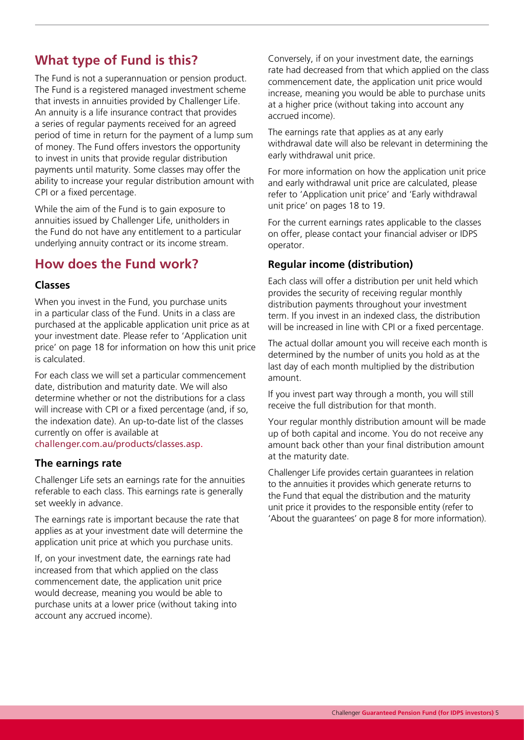## **What type of Fund is this?**

The Fund is not a superannuation or pension product. The Fund is a registered managed investment scheme that invests in annuities provided by Challenger Life. An annuity is a life insurance contract that provides a series of regular payments received for an agreed period of time in return for the payment of a lump sum of money. The Fund offers investors the opportunity to invest in units that provide regular distribution payments until maturity. Some classes may offer the ability to increase your regular distribution amount with CPI or a fixed percentage.

While the aim of the Fund is to gain exposure to annuities issued by Challenger Life, unitholders in the Fund do not have any entitlement to a particular underlying annuity contract or its income stream.

### **How does the Fund work?**

#### **Classes**

When you invest in the Fund, you purchase units in a particular class of the Fund. Units in a class are purchased at the applicable application unit price as at your investment date. Please refer to 'Application unit price' on page 18 for information on how this unit price is calculated.

For each class we will set a particular commencement date, distribution and maturity date. We will also determine whether or not the distributions for a class will increase with CPI or a fixed percentage (and, if so, the indexation date). An up-to-date list of the classes currently on offer is available at

[challenger.com.au/products/classes.asp.](http://www.challenger.com.au/products/classes.asp)

#### **The earnings rate**

Challenger Life sets an earnings rate for the annuities referable to each class. This earnings rate is generally set weekly in advance.

The earnings rate is important because the rate that applies as at your investment date will determine the application unit price at which you purchase units.

If, on your investment date, the earnings rate had increased from that which applied on the class commencement date, the application unit price would decrease, meaning you would be able to purchase units at a lower price (without taking into account any accrued income).

Conversely, if on your investment date, the earnings rate had decreased from that which applied on the class commencement date, the application unit price would increase, meaning you would be able to purchase units at a higher price (without taking into account any accrued income).

The earnings rate that applies as at any early withdrawal date will also be relevant in determining the early withdrawal unit price.

For more information on how the application unit price and early withdrawal unit price are calculated, please refer to 'Application unit price' and 'Early withdrawal unit price' on pages 18 to 19.

For the current earnings rates applicable to the classes on offer, please contact your financial adviser or IDPS operator.

#### **Regular income (distribution)**

Each class will offer a distribution per unit held which provides the security of receiving regular monthly distribution payments throughout your investment term. If you invest in an indexed class, the distribution will be increased in line with CPI or a fixed percentage.

The actual dollar amount you will receive each month is determined by the number of units you hold as at the last day of each month multiplied by the distribution amount.

If you invest part way through a month, you will still receive the full distribution for that month.

Your regular monthly distribution amount will be made up of both capital and income. You do not receive any amount back other than your final distribution amount at the maturity date.

Challenger Life provides certain guarantees in relation to the annuities it provides which generate returns to the Fund that equal the distribution and the maturity unit price it provides to the responsible entity (refer to 'About the guarantees' on page 8 for more information).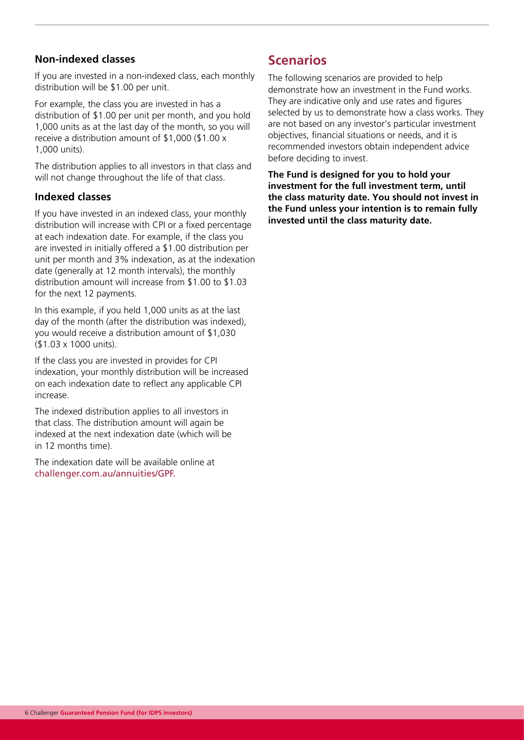#### **Non-indexed classes**

If you are invested in a non-indexed class, each monthly distribution will be \$1.00 per unit.

For example, the class you are invested in has a distribution of \$1.00 per unit per month, and you hold 1,000 units as at the last day of the month, so you will receive a distribution amount of \$1,000 (\$1.00 x 1,000 units).

The distribution applies to all investors in that class and will not change throughout the life of that class.

#### **Indexed classes**

If you have invested in an indexed class, your monthly distribution will increase with CPI or a fixed percentage at each indexation date. For example, if the class you are invested in initially offered a \$1.00 distribution per unit per month and 3% indexation, as at the indexation date (generally at 12 month intervals), the monthly distribution amount will increase from \$1.00 to \$1.03 for the next 12 payments.

In this example, if you held 1,000 units as at the last day of the month (after the distribution was indexed), you would receive a distribution amount of \$1,030 (\$1.03 x 1000 units).

If the class you are invested in provides for CPI indexation, your monthly distribution will be increased on each indexation date to reflect any applicable CPI increase.

The indexed distribution applies to all investors in that class. The distribution amount will again be indexed at the next indexation date (which will be in 12 months time).

The indexation date will be available online at [challenger.com.au/](https://www.challenger.com.au/annuities/GPF)annuities/GPF.

## **Scenarios**

The following scenarios are provided to help demonstrate how an investment in the Fund works. They are indicative only and use rates and figures selected by us to demonstrate how a class works. They are not based on any investor's particular investment objectives, financial situations or needs, and it is recommended investors obtain independent advice before deciding to invest.

**The Fund is designed for you to hold your investment for the full investment term, until the class maturity date. You should not invest in the Fund unless your intention is to remain fully invested until the class maturity date.**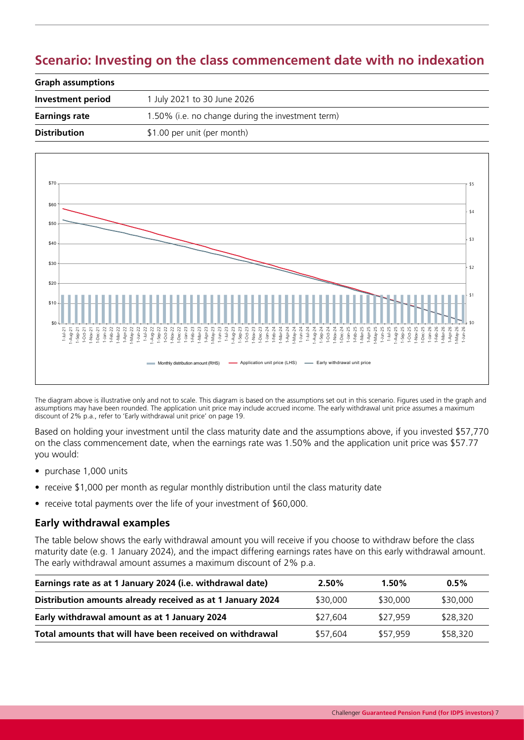## **Scenario: Investing on the class commencement date with no indexation**

| <b>Graph assumptions</b> |                                                   |  |
|--------------------------|---------------------------------------------------|--|
| Investment period        | 1 July 2021 to 30 June 2026                       |  |
| <b>Earnings rate</b>     | 1.50% (i.e. no change during the investment term) |  |
| <b>Distribution</b>      | \$1.00 per unit (per month)                       |  |



The diagram above is illustrative only and not to scale. This diagram is based on the assumptions set out in this scenario. Figures used in the graph and assumptions may have been rounded. The application unit price may include accrued income. The early withdrawal unit price assumes a maximum discount of 2% p.a., refer to 'Early withdrawal unit price' on page 19.

Based on holding your investment until the class maturity date and the assumptions above, if you invested \$57,770 on the class commencement date, when the earnings rate was 1.50% and the application unit price was \$57.77 you would:

- purchase 1,000 units
- receive \$1,000 per month as regular monthly distribution until the class maturity date
- receive total payments over the life of your investment of \$60,000.

#### **Early withdrawal examples**

The table below shows the early withdrawal amount you will receive if you choose to withdraw before the class maturity date (e.g. 1 January 2024), and the impact differing earnings rates have on this early withdrawal amount. The early withdrawal amount assumes a maximum discount of 2% p.a.

| Earnings rate as at 1 January 2024 (i.e. withdrawal date)  | 2.50%    | 1.50%    | $0.5\%$  |
|------------------------------------------------------------|----------|----------|----------|
| Distribution amounts already received as at 1 January 2024 | \$30,000 | \$30,000 | \$30,000 |
| Early withdrawal amount as at 1 January 2024               | \$27.604 | \$27.959 | \$28,320 |
| Total amounts that will have been received on withdrawal   | \$57.604 | \$57.959 | \$58,320 |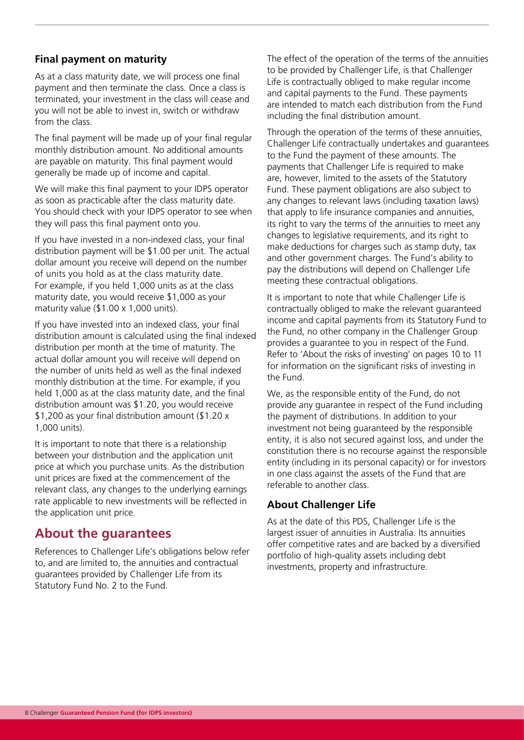#### **Final payment on maturity**

As at a class maturity date, we will process one final payment and then terminate the class. Once a class is terminated, your investment in the class will cease and you will not be able to invest in, switch or withdraw from the class.

The final payment will be made up of your final regular monthly distribution amount. No additional amounts are payable on maturity. This final payment would generally be made up of income and capital.

We will make this final payment to your IDPS operator as soon as practicable after the class maturity date. You should check with your IDPS operator to see when they will pass this final payment onto you.

If you have invested in a non-indexed class, your final distribution payment will be \$1.00 per unit. The actual dollar amount you receive will depend on the number of units you hold as at the class maturity date. For example, if you held 1,000 units as at the class maturity date, you would receive \$1,000 as your maturity value  $(\$1.00 \times 1,000$  units).

If you have invested into an indexed class, your final distribution amount is calculated using the final indexed distribution per month at the time of maturity. The actual dollar amount you will receive will depend on the number of units held as well as the final indexed monthly distribution at the time. For example, if you held 1,000 as at the class maturity date, and the final distribution amount was \$1.20, you would receive \$1,200 as your final distribution amount (\$1.20 x 1,000 units).

It is important to note that there is a relationship between your distribution and the application unit price at which you purchase units. As the distribution unit prices are fixed at the commencement of the relevant class, any changes to the underlying earnings rate applicable to new investments will be reflected in the application unit price.

### **About the guarantees**

References to Challenger Life's obligations below refer to, and are limited to, the annuities and contractual guarantees provided by Challenger Life from its Statutory Fund No. 2 to the Fund.

The effect of the operation of the terms of the annuities to be provided by Challenger Life, is that Challenger Life is contractually obliged to make regular income and capital payments to the Fund. These payments are intended to match each distribution from the Fund including the final distribution amount.

Through the operation of the terms of these annuities, Challenger Life contractually undertakes and guarantees to the Fund the payment of these amounts. The payments that Challenger Life is required to make are, however, limited to the assets of the Statutory Fund. These payment obligations are also subject to any changes to relevant laws (including taxation laws) that apply to life insurance companies and annuities, its right to vary the terms of the annuities to meet any changes to legislative requirements, and its right to make deductions for charges such as stamp duty, tax and other government charges. The Fund's ability to pay the distributions will depend on Challenger Life meeting these contractual obligations.

It is important to note that while Challenger Life is contractually obliged to make the relevant guaranteed income and capital payments from its Statutory Fund to the Fund, no other company in the Challenger Group provides a guarantee to you in respect of the Fund. Refer to 'About the risks of investing' on pages 10 to 11 for information on the significant risks of investing in the Fund.

We, as the responsible entity of the Fund, do not provide any guarantee in respect of the Fund including the payment of distributions. In addition to your investment not being guaranteed by the responsible entity, it is also not secured against loss, and under the constitution there is no recourse against the responsible entity (including in its personal capacity) or for investors in one class against the assets of the Fund that are referable to another class.

#### **About Challenger Life**

As at the date of this PDS, Challenger Life is the largest issuer of annuities in Australia. Its annuities offer competitive rates and are backed by a diversified portfolio of high-quality assets including debt investments, property and infrastructure.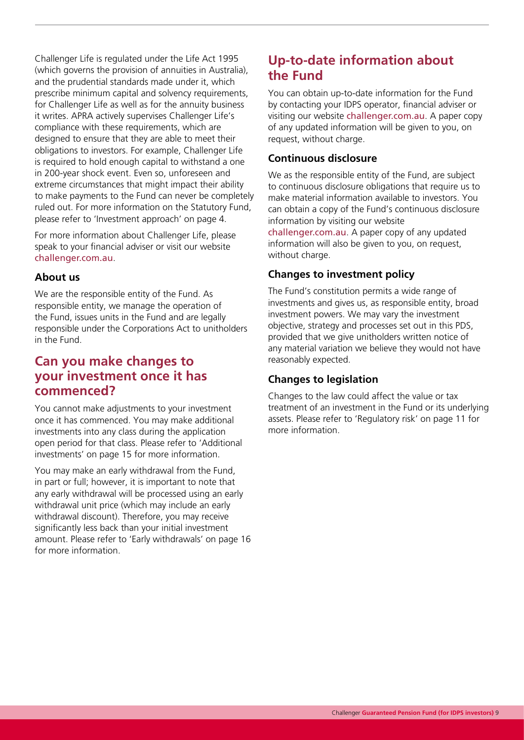Challenger Life is regulated under the Life Act 1995 (which governs the provision of annuities in Australia), and the prudential standards made under it, which prescribe minimum capital and solvency requirements, for Challenger Life as well as for the annuity business it writes. APRA actively supervises Challenger Life's compliance with these requirements, which are designed to ensure that they are able to meet their obligations to investors. For example, Challenger Life is required to hold enough capital to withstand a one in 200-year shock event. Even so, unforeseen and extreme circumstances that might impact their ability to make payments to the Fund can never be completely ruled out. For more information on the Statutory Fund, please refer to 'Investment approach' on page 4.

For more information about Challenger Life, please speak to your financial adviser or visit our website [challenger.com.au](https://www.challenger.com.au/).

#### **About us**

We are the responsible entity of the Fund. As responsible entity, we manage the operation of the Fund, issues units in the Fund and are legally responsible under the Corporations Act to unitholders in the Fund.

### **Can you make changes to your investment once it has commenced?**

You cannot make adjustments to your investment once it has commenced. You may make additional investments into any class during the application open period for that class. Please refer to 'Additional investments' on page 15 for more information.

You may make an early withdrawal from the Fund, in part or full; however, it is important to note that any early withdrawal will be processed using an early withdrawal unit price (which may include an early withdrawal discount). Therefore, you may receive significantly less back than your initial investment amount. Please refer to 'Early withdrawals' on page 16 for more information.

## **Up-to-date information about the Fund**

You can obtain up-to-date information for the Fund by contacting your IDPS operator, financial adviser or visiting our website [challenger.com.au](https://www.challenger.com.au/). A paper copy of any updated information will be given to you, on request, without charge.

#### **Continuous disclosure**

We as the responsible entity of the Fund, are subject to continuous disclosure obligations that require us to make material information available to investors. You can obtain a copy of the Fund's continuous disclosure information by visiting our website

[challenger.com.au](https://www.challenger.com.au/). A paper copy of any updated information will also be given to you, on request, without charge.

#### **Changes to investment policy**

The Fund's constitution permits a wide range of investments and gives us, as responsible entity, broad investment powers. We may vary the investment objective, strategy and processes set out in this PDS, provided that we give unitholders written notice of any material variation we believe they would not have reasonably expected.

#### **Changes to legislation**

Changes to the law could affect the value or tax treatment of an investment in the Fund or its underlying assets. Please refer to 'Regulatory risk' on page 11 for more information.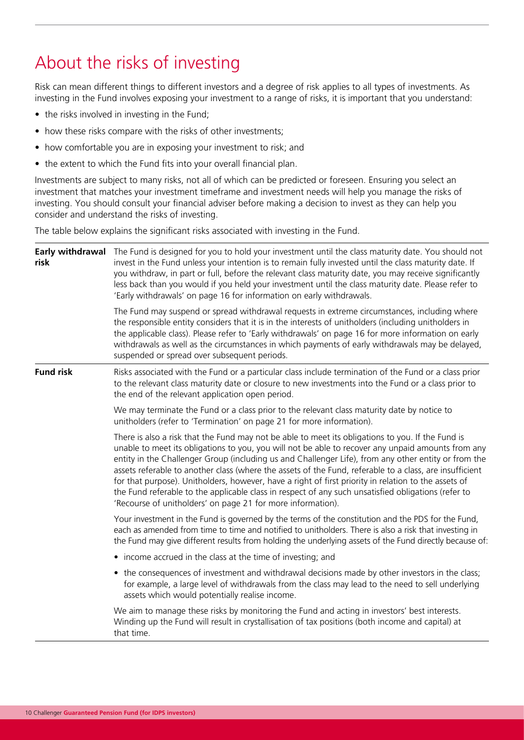## About the risks of investing

Risk can mean different things to different investors and a degree of risk applies to all types of investments. As investing in the Fund involves exposing your investment to a range of risks, it is important that you understand:

- the risks involved in investing in the Fund;
- how these risks compare with the risks of other investments;
- how comfortable you are in exposing your investment to risk; and
- the extent to which the Fund fits into your overall financial plan.

Investments are subject to many risks, not all of which can be predicted or foreseen. Ensuring you select an investment that matches your investment timeframe and investment needs will help you manage the risks of investing. You should consult your financial adviser before making a decision to invest as they can help you consider and understand the risks of investing.

The table below explains the significant risks associated with investing in the Fund.

| Early withdrawal<br>risk | The Fund is designed for you to hold your investment until the class maturity date. You should not<br>invest in the Fund unless your intention is to remain fully invested until the class maturity date. If<br>you withdraw, in part or full, before the relevant class maturity date, you may receive significantly<br>less back than you would if you held your investment until the class maturity date. Please refer to<br>'Early withdrawals' on page 16 for information on early withdrawals.                                                                                                                                                                                                     |  |  |
|--------------------------|----------------------------------------------------------------------------------------------------------------------------------------------------------------------------------------------------------------------------------------------------------------------------------------------------------------------------------------------------------------------------------------------------------------------------------------------------------------------------------------------------------------------------------------------------------------------------------------------------------------------------------------------------------------------------------------------------------|--|--|
|                          | The Fund may suspend or spread withdrawal requests in extreme circumstances, including where<br>the responsible entity considers that it is in the interests of unitholders (including unitholders in<br>the applicable class). Please refer to 'Early withdrawals' on page 16 for more information on early<br>withdrawals as well as the circumstances in which payments of early withdrawals may be delayed,<br>suspended or spread over subsequent periods.                                                                                                                                                                                                                                          |  |  |
| <b>Fund risk</b>         | Risks associated with the Fund or a particular class include termination of the Fund or a class prior<br>to the relevant class maturity date or closure to new investments into the Fund or a class prior to<br>the end of the relevant application open period.                                                                                                                                                                                                                                                                                                                                                                                                                                         |  |  |
|                          | We may terminate the Fund or a class prior to the relevant class maturity date by notice to<br>unitholders (refer to 'Termination' on page 21 for more information).                                                                                                                                                                                                                                                                                                                                                                                                                                                                                                                                     |  |  |
|                          | There is also a risk that the Fund may not be able to meet its obligations to you. If the Fund is<br>unable to meet its obligations to you, you will not be able to recover any unpaid amounts from any<br>entity in the Challenger Group (including us and Challenger Life), from any other entity or from the<br>assets referable to another class (where the assets of the Fund, referable to a class, are insufficient<br>for that purpose). Unitholders, however, have a right of first priority in relation to the assets of<br>the Fund referable to the applicable class in respect of any such unsatisfied obligations (refer to<br>'Recourse of unitholders' on page 21 for more information). |  |  |
|                          | Your investment in the Fund is governed by the terms of the constitution and the PDS for the Fund,<br>each as amended from time to time and notified to unitholders. There is also a risk that investing in<br>the Fund may give different results from holding the underlying assets of the Fund directly because of:                                                                                                                                                                                                                                                                                                                                                                                   |  |  |
|                          | • income accrued in the class at the time of investing; and                                                                                                                                                                                                                                                                                                                                                                                                                                                                                                                                                                                                                                              |  |  |
|                          | • the consequences of investment and withdrawal decisions made by other investors in the class;<br>for example, a large level of withdrawals from the class may lead to the need to sell underlying<br>assets which would potentially realise income.                                                                                                                                                                                                                                                                                                                                                                                                                                                    |  |  |
|                          | We aim to manage these risks by monitoring the Fund and acting in investors' best interests.<br>Winding up the Fund will result in crystallisation of tax positions (both income and capital) at<br>that time.                                                                                                                                                                                                                                                                                                                                                                                                                                                                                           |  |  |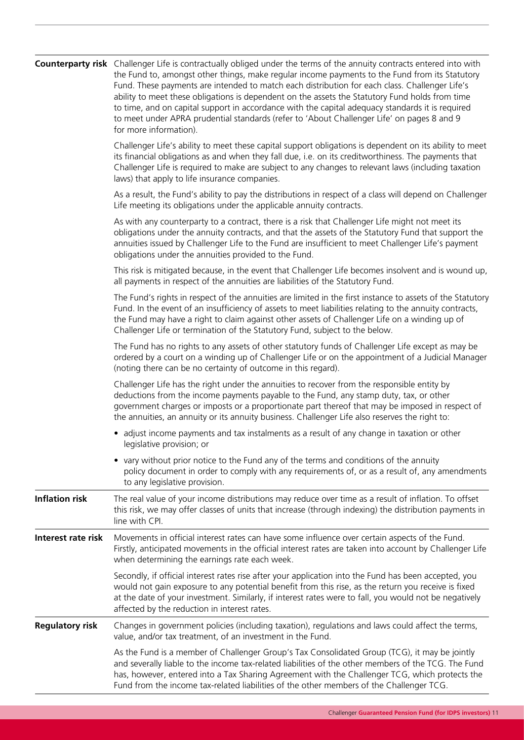|                        | Counterparty risk Challenger Life is contractually obliged under the terms of the annuity contracts entered into with<br>the Fund to, amongst other things, make regular income payments to the Fund from its Statutory<br>Fund. These payments are intended to match each distribution for each class. Challenger Life's<br>ability to meet these obligations is dependent on the assets the Statutory Fund holds from time<br>to time, and on capital support in accordance with the capital adequacy standards it is required<br>to meet under APRA prudential standards (refer to 'About Challenger Life' on pages 8 and 9<br>for more information). |  |  |
|------------------------|----------------------------------------------------------------------------------------------------------------------------------------------------------------------------------------------------------------------------------------------------------------------------------------------------------------------------------------------------------------------------------------------------------------------------------------------------------------------------------------------------------------------------------------------------------------------------------------------------------------------------------------------------------|--|--|
|                        | Challenger Life's ability to meet these capital support obligations is dependent on its ability to meet<br>its financial obligations as and when they fall due, i.e. on its creditworthiness. The payments that<br>Challenger Life is required to make are subject to any changes to relevant laws (including taxation<br>laws) that apply to life insurance companies.                                                                                                                                                                                                                                                                                  |  |  |
|                        | As a result, the Fund's ability to pay the distributions in respect of a class will depend on Challenger<br>Life meeting its obligations under the applicable annuity contracts.                                                                                                                                                                                                                                                                                                                                                                                                                                                                         |  |  |
|                        | As with any counterparty to a contract, there is a risk that Challenger Life might not meet its<br>obligations under the annuity contracts, and that the assets of the Statutory Fund that support the<br>annuities issued by Challenger Life to the Fund are insufficient to meet Challenger Life's payment<br>obligations under the annuities provided to the Fund.                                                                                                                                                                                                                                                                                    |  |  |
|                        | This risk is mitigated because, in the event that Challenger Life becomes insolvent and is wound up,<br>all payments in respect of the annuities are liabilities of the Statutory Fund.                                                                                                                                                                                                                                                                                                                                                                                                                                                                  |  |  |
|                        | The Fund's rights in respect of the annuities are limited in the first instance to assets of the Statutory<br>Fund. In the event of an insufficiency of assets to meet liabilities relating to the annuity contracts,<br>the Fund may have a right to claim against other assets of Challenger Life on a winding up of<br>Challenger Life or termination of the Statutory Fund, subject to the below.                                                                                                                                                                                                                                                    |  |  |
|                        | The Fund has no rights to any assets of other statutory funds of Challenger Life except as may be<br>ordered by a court on a winding up of Challenger Life or on the appointment of a Judicial Manager<br>(noting there can be no certainty of outcome in this regard).                                                                                                                                                                                                                                                                                                                                                                                  |  |  |
|                        | Challenger Life has the right under the annuities to recover from the responsible entity by<br>deductions from the income payments payable to the Fund, any stamp duty, tax, or other<br>government charges or imposts or a proportionate part thereof that may be imposed in respect of<br>the annuities, an annuity or its annuity business. Challenger Life also reserves the right to:                                                                                                                                                                                                                                                               |  |  |
|                        | • adjust income payments and tax instalments as a result of any change in taxation or other<br>legislative provision; or                                                                                                                                                                                                                                                                                                                                                                                                                                                                                                                                 |  |  |
|                        | • vary without prior notice to the Fund any of the terms and conditions of the annuity<br>policy document in order to comply with any requirements of, or as a result of, any amendments<br>to any legislative provision.                                                                                                                                                                                                                                                                                                                                                                                                                                |  |  |
| <b>Inflation risk</b>  | The real value of your income distributions may reduce over time as a result of inflation. To offset<br>this risk, we may offer classes of units that increase (through indexing) the distribution payments in<br>line with CPI.                                                                                                                                                                                                                                                                                                                                                                                                                         |  |  |
| Interest rate risk     | Movements in official interest rates can have some influence over certain aspects of the Fund.<br>Firstly, anticipated movements in the official interest rates are taken into account by Challenger Life<br>when determining the earnings rate each week.                                                                                                                                                                                                                                                                                                                                                                                               |  |  |
|                        | Secondly, if official interest rates rise after your application into the Fund has been accepted, you<br>would not gain exposure to any potential benefit from this rise, as the return you receive is fixed<br>at the date of your investment. Similarly, if interest rates were to fall, you would not be negatively<br>affected by the reduction in interest rates.                                                                                                                                                                                                                                                                                   |  |  |
| <b>Regulatory risk</b> | Changes in government policies (including taxation), regulations and laws could affect the terms,<br>value, and/or tax treatment, of an investment in the Fund.                                                                                                                                                                                                                                                                                                                                                                                                                                                                                          |  |  |
|                        | As the Fund is a member of Challenger Group's Tax Consolidated Group (TCG), it may be jointly<br>and severally liable to the income tax-related liabilities of the other members of the TCG. The Fund<br>has, however, entered into a Tax Sharing Agreement with the Challenger TCG, which protects the<br>Fund from the income tax-related liabilities of the other members of the Challenger TCG.                                                                                                                                                                                                                                                      |  |  |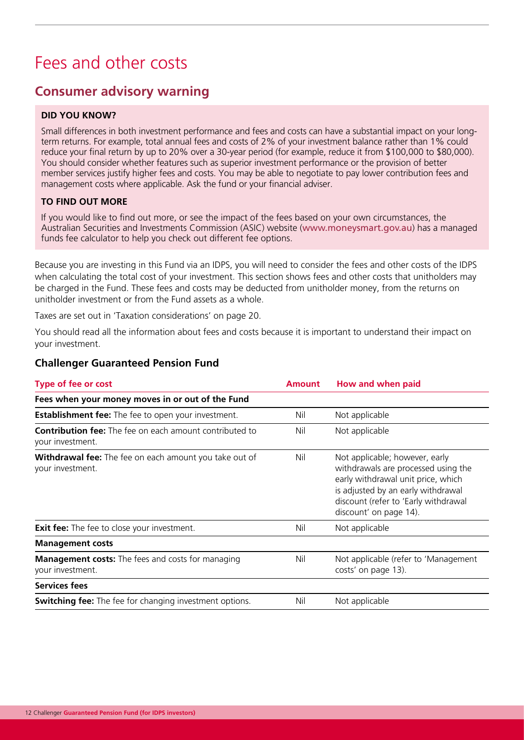## Fees and other costs

### **Consumer advisory warning**

#### **DID YOU KNOW?**

Small differences in both investment performance and fees and costs can have a substantial impact on your longterm returns. For example, total annual fees and costs of 2% of your investment balance rather than 1% could reduce your final return by up to 20% over a 30-year period (for example, reduce it from \$100,000 to \$80,000). You should consider whether features such as superior investment performance or the provision of better member services justify higher fees and costs. You may be able to negotiate to pay lower contribution fees and management costs where applicable. Ask the fund or your financial adviser.

#### **TO FIND OUT MORE**

If you would like to find out more, or see the impact of the fees based on your own circumstances, the Australian Securities and Investments Commission (ASIC) website ([www.moneysmart.gov.au](http://www.moneysmart.gov.au)) has a managed funds fee calculator to help you check out different fee options.

Because you are investing in this Fund via an IDPS, you will need to consider the fees and other costs of the IDPS when calculating the total cost of your investment. This section shows fees and other costs that unitholders may be charged in the Fund. These fees and costs may be deducted from unitholder money, from the returns on unitholder investment or from the Fund assets as a whole.

Taxes are set out in 'Taxation considerations' on page 20.

You should read all the information about fees and costs because it is important to understand their impact on your investment.

| <b>Type of fee or cost</b>                                                         | <b>Amount</b> | How and when paid                                                                                                                                                                                                   |
|------------------------------------------------------------------------------------|---------------|---------------------------------------------------------------------------------------------------------------------------------------------------------------------------------------------------------------------|
| Fees when your money moves in or out of the Fund                                   |               |                                                                                                                                                                                                                     |
| <b>Establishment fee:</b> The fee to open your investment.                         | Nil           | Not applicable                                                                                                                                                                                                      |
| <b>Contribution fee:</b> The fee on each amount contributed to<br>your investment. | Nil           | Not applicable                                                                                                                                                                                                      |
| Withdrawal fee: The fee on each amount you take out of<br>your investment.         | Nil           | Not applicable; however, early<br>withdrawals are processed using the<br>early withdrawal unit price, which<br>is adjusted by an early withdrawal<br>discount (refer to 'Early withdrawal<br>discount' on page 14). |
| <b>Exit fee:</b> The fee to close your investment.                                 | Nil           | Not applicable                                                                                                                                                                                                      |
| <b>Management costs</b>                                                            |               |                                                                                                                                                                                                                     |
| <b>Management costs:</b> The fees and costs for managing<br>your investment.       | Nil           | Not applicable (refer to 'Management<br>costs' on page 13).                                                                                                                                                         |
| <b>Services fees</b>                                                               |               |                                                                                                                                                                                                                     |
| <b>Switching fee:</b> The fee for changing investment options.                     | Nil           | Not applicable                                                                                                                                                                                                      |

#### **Challenger Guaranteed Pension Fund**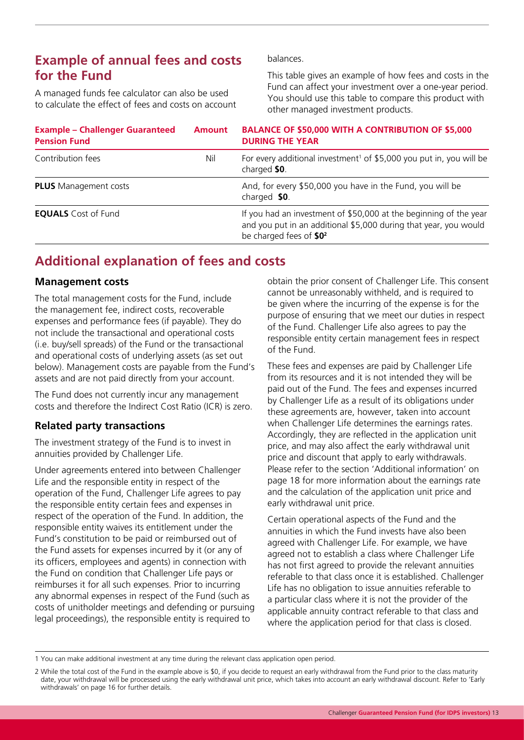### **Example of annual fees and costs for the Fund**

A managed funds fee calculator can also be used to calculate the effect of fees and costs on account balances.

This table gives an example of how fees and costs in the Fund can affect your investment over a one-year period. You should use this table to compare this product with other managed investment products.

| <b>Example - Challenger Guaranteed</b><br><b>Pension Fund</b> | <b>Amount</b> | <b>BALANCE OF \$50,000 WITH A CONTRIBUTION OF \$5,000</b><br><b>DURING THE YEAR</b>                                                                                          |
|---------------------------------------------------------------|---------------|------------------------------------------------------------------------------------------------------------------------------------------------------------------------------|
| Contribution fees                                             | Nil           | For every additional investment <sup>1</sup> of \$5,000 you put in, you will be<br>charged \$0.                                                                              |
| <b>PLUS</b> Management costs                                  |               | And, for every \$50,000 you have in the Fund, you will be<br>charged \$0.                                                                                                    |
| <b>EQUALS</b> Cost of Fund                                    |               | If you had an investment of \$50,000 at the beginning of the year<br>and you put in an additional \$5,000 during that year, you would<br>be charged fees of \$0 <sup>2</sup> |

## **Additional explanation of fees and costs**

#### **Management costs**

The total management costs for the Fund, include the management fee, indirect costs, recoverable expenses and performance fees (if payable). They do not include the transactional and operational costs (i.e. buy/sell spreads) of the Fund or the transactional and operational costs of underlying assets (as set out below). Management costs are payable from the Fund's assets and are not paid directly from your account.

The Fund does not currently incur any management costs and therefore the Indirect Cost Ratio (ICR) is zero.

#### **Related party transactions**

The investment strategy of the Fund is to invest in annuities provided by Challenger Life.

Under agreements entered into between Challenger Life and the responsible entity in respect of the operation of the Fund, Challenger Life agrees to pay the responsible entity certain fees and expenses in respect of the operation of the Fund. In addition, the responsible entity waives its entitlement under the Fund's constitution to be paid or reimbursed out of the Fund assets for expenses incurred by it (or any of its officers, employees and agents) in connection with the Fund on condition that Challenger Life pays or reimburses it for all such expenses. Prior to incurring any abnormal expenses in respect of the Fund (such as costs of unitholder meetings and defending or pursuing legal proceedings), the responsible entity is required to

obtain the prior consent of Challenger Life. This consent cannot be unreasonably withheld, and is required to be given where the incurring of the expense is for the purpose of ensuring that we meet our duties in respect of the Fund. Challenger Life also agrees to pay the responsible entity certain management fees in respect of the Fund.

These fees and expenses are paid by Challenger Life from its resources and it is not intended they will be paid out of the Fund. The fees and expenses incurred by Challenger Life as a result of its obligations under these agreements are, however, taken into account when Challenger Life determines the earnings rates. Accordingly, they are reflected in the application unit price, and may also affect the early withdrawal unit price and discount that apply to early withdrawals. Please refer to the section 'Additional information' on page 18 for more information about the earnings rate and the calculation of the application unit price and early withdrawal unit price.

Certain operational aspects of the Fund and the annuities in which the Fund invests have also been agreed with Challenger Life. For example, we have agreed not to establish a class where Challenger Life has not first agreed to provide the relevant annuities referable to that class once it is established. Challenger Life has no obligation to issue annuities referable to a particular class where it is not the provider of the applicable annuity contract referable to that class and where the application period for that class is closed.

<sup>1</sup> You can make additional investment at any time during the relevant class application open period.

<sup>2</sup> While the total cost of the Fund in the example above is \$0, if you decide to request an early withdrawal from the Fund prior to the class maturity date, your withdrawal will be processed using the early withdrawal unit price, which takes into account an early withdrawal discount. Refer to 'Early withdrawals' on page 16 for further details.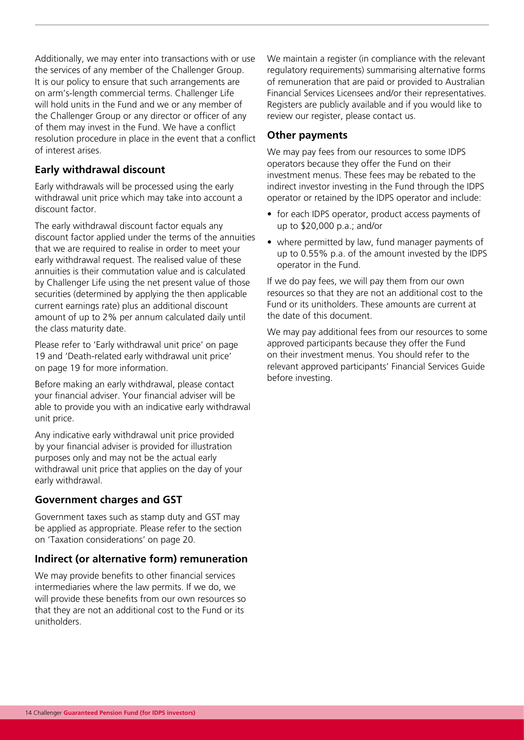Additionally, we may enter into transactions with or use the services of any member of the Challenger Group. It is our policy to ensure that such arrangements are on arm's-length commercial terms. Challenger Life will hold units in the Fund and we or any member of the Challenger Group or any director or officer of any of them may invest in the Fund. We have a conflict resolution procedure in place in the event that a conflict of interest arises.

#### **Early withdrawal discount**

Early withdrawals will be processed using the early withdrawal unit price which may take into account a discount factor.

The early withdrawal discount factor equals any discount factor applied under the terms of the annuities that we are required to realise in order to meet your early withdrawal request. The realised value of these annuities is their commutation value and is calculated by Challenger Life using the net present value of those securities (determined by applying the then applicable current earnings rate) plus an additional discount amount of up to 2% per annum calculated daily until the class maturity date.

Please refer to 'Early withdrawal unit price' on page 19 and 'Death-related early withdrawal unit price' on page 19 for more information.

Before making an early withdrawal, please contact your financial adviser. Your financial adviser will be able to provide you with an indicative early withdrawal unit price.

Any indicative early withdrawal unit price provided by your financial adviser is provided for illustration purposes only and may not be the actual early withdrawal unit price that applies on the day of your early withdrawal.

#### **Government charges and GST**

Government taxes such as stamp duty and GST may be applied as appropriate. Please refer to the section on 'Taxation considerations' on page 20.

#### **Indirect (or alternative form) remuneration**

We may provide benefits to other financial services intermediaries where the law permits. If we do, we will provide these benefits from our own resources so that they are not an additional cost to the Fund or its unitholders.

We maintain a register (in compliance with the relevant regulatory requirements) summarising alternative forms of remuneration that are paid or provided to Australian Financial Services Licensees and/or their representatives. Registers are publicly available and if you would like to review our register, please contact us.

#### **Other payments**

We may pay fees from our resources to some IDPS operators because they offer the Fund on their investment menus. These fees may be rebated to the indirect investor investing in the Fund through the IDPS operator or retained by the IDPS operator and include:

- for each IDPS operator, product access payments of up to \$20,000 p.a.; and/or
- where permitted by law, fund manager payments of up to 0.55% p.a. of the amount invested by the IDPS operator in the Fund.

If we do pay fees, we will pay them from our own resources so that they are not an additional cost to the Fund or its unitholders. These amounts are current at the date of this document.

We may pay additional fees from our resources to some approved participants because they offer the Fund on their investment menus. You should refer to the relevant approved participants' Financial Services Guide before investing.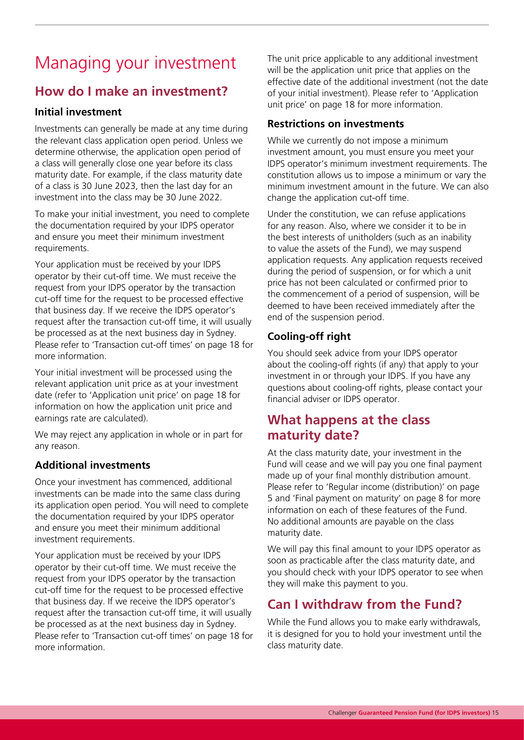## Managing your investment

## **How do I make an investment?**

#### **Initial investment**

Investments can generally be made at any time during the relevant class application open period. Unless we determine otherwise, the application open period of a class will generally close one year before its class maturity date. For example, if the class maturity date of a class is 30 June 2023, then the last day for an investment into the class may be 30 June 2022.

To make your initial investment, you need to complete the documentation required by your IDPS operator and ensure you meet their minimum investment requirements.

Your application must be received by your IDPS operator by their cut-off time. We must receive the request from your IDPS operator by the transaction cut-off time for the request to be processed effective that business day. If we receive the IDPS operator's request after the transaction cut-off time, it will usually be processed as at the next business day in Sydney. Please refer to 'Transaction cut-off times' on page 18 for more information.

Your initial investment will be processed using the relevant application unit price as at your investment date (refer to 'Application unit price' on page 18 for information on how the application unit price and earnings rate are calculated).

We may reject any application in whole or in part for any reason.

#### **Additional investments**

Once your investment has commenced, additional investments can be made into the same class during its application open period. You will need to complete the documentation required by your IDPS operator and ensure you meet their minimum additional investment requirements.

Your application must be received by your IDPS operator by their cut-off time. We must receive the request from your IDPS operator by the transaction cut-off time for the request to be processed effective that business day. If we receive the IDPS operator's request after the transaction cut-off time, it will usually be processed as at the next business day in Sydney. Please refer to 'Transaction cut-off times' on page 18 for more information.

The unit price applicable to any additional investment will be the application unit price that applies on the effective date of the additional investment (not the date of your initial investment). Please refer to 'Application unit price' on page 18 for more information.

#### **Restrictions on investments**

While we currently do not impose a minimum investment amount, you must ensure you meet your IDPS operator's minimum investment requirements. The constitution allows us to impose a minimum or vary the minimum investment amount in the future. We can also change the application cut-off time.

Under the constitution, we can refuse applications for any reason. Also, where we consider it to be in the best interests of unitholders (such as an inability to value the assets of the Fund), we may suspend application requests. Any application requests received during the period of suspension, or for which a unit price has not been calculated or confirmed prior to the commencement of a period of suspension, will be deemed to have been received immediately after the end of the suspension period.

#### **Cooling-off right**

You should seek advice from your IDPS operator about the cooling-off rights (if any) that apply to your investment in or through your IDPS. If you have any questions about cooling-off rights, please contact your financial adviser or IDPS operator.

### **What happens at the class maturity date?**

At the class maturity date, your investment in the Fund will cease and we will pay you one final payment made up of your final monthly distribution amount. Please refer to 'Regular income (distribution)' on page 5 and 'Final payment on maturity' on page 8 for more information on each of these features of the Fund. No additional amounts are payable on the class maturity date.

We will pay this final amount to your IDPS operator as soon as practicable after the class maturity date, and you should check with your IDPS operator to see when they will make this payment to you.

## **Can I withdraw from the Fund?**

While the Fund allows you to make early withdrawals, it is designed for you to hold your investment until the class maturity date.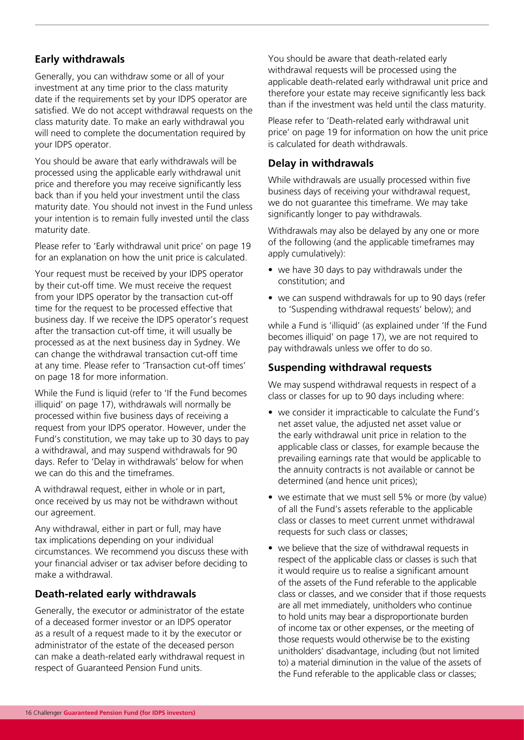#### **Early withdrawals**

Generally, you can withdraw some or all of your investment at any time prior to the class maturity date if the requirements set by your IDPS operator are satisfied. We do not accept withdrawal requests on the class maturity date. To make an early withdrawal you will need to complete the documentation required by your IDPS operator.

You should be aware that early withdrawals will be processed using the applicable early withdrawal unit price and therefore you may receive significantly less back than if you held your investment until the class maturity date. You should not invest in the Fund unless your intention is to remain fully invested until the class maturity date.

Please refer to 'Early withdrawal unit price' on page 19 for an explanation on how the unit price is calculated.

Your request must be received by your IDPS operator by their cut-off time. We must receive the request from your IDPS operator by the transaction cut-off time for the request to be processed effective that business day. If we receive the IDPS operator's request after the transaction cut-off time, it will usually be processed as at the next business day in Sydney. We can change the withdrawal transaction cut-off time at any time. Please refer to 'Transaction cut-off times' on page 18 for more information.

While the Fund is liquid (refer to 'If the Fund becomes illiquid' on page 17), withdrawals will normally be processed within five business days of receiving a request from your IDPS operator. However, under the Fund's constitution, we may take up to 30 days to pay a withdrawal, and may suspend withdrawals for 90 days. Refer to 'Delay in withdrawals' below for when we can do this and the timeframes.

A withdrawal request, either in whole or in part, once received by us may not be withdrawn without our agreement.

Any withdrawal, either in part or full, may have tax implications depending on your individual circumstances. We recommend you discuss these with your financial adviser or tax adviser before deciding to make a withdrawal.

#### **Death-related early withdrawals**

Generally, the executor or administrator of the estate of a deceased former investor or an IDPS operator as a result of a request made to it by the executor or administrator of the estate of the deceased person can make a death-related early withdrawal request in respect of Guaranteed Pension Fund units.

You should be aware that death-related early withdrawal requests will be processed using the applicable death-related early withdrawal unit price and therefore your estate may receive significantly less back than if the investment was held until the class maturity.

Please refer to 'Death-related early withdrawal unit price' on page 19 for information on how the unit price is calculated for death withdrawals.

#### **Delay in withdrawals**

While withdrawals are usually processed within five business days of receiving your withdrawal request, we do not guarantee this timeframe. We may take significantly longer to pay withdrawals.

Withdrawals may also be delayed by any one or more of the following (and the applicable timeframes may apply cumulatively):

- we have 30 days to pay withdrawals under the constitution; and
- we can suspend withdrawals for up to 90 days (refer to 'Suspending withdrawal requests' below); and

while a Fund is 'illiquid' (as explained under 'If the Fund becomes illiquid' on page 17), we are not required to pay withdrawals unless we offer to do so.

#### **Suspending withdrawal requests**

We may suspend withdrawal requests in respect of a class or classes for up to 90 days including where:

- we consider it impracticable to calculate the Fund's net asset value, the adjusted net asset value or the early withdrawal unit price in relation to the applicable class or classes, for example because the prevailing earnings rate that would be applicable to the annuity contracts is not available or cannot be determined (and hence unit prices);
- we estimate that we must sell 5% or more (by value) of all the Fund's assets referable to the applicable class or classes to meet current unmet withdrawal requests for such class or classes;
- we believe that the size of withdrawal requests in respect of the applicable class or classes is such that it would require us to realise a significant amount of the assets of the Fund referable to the applicable class or classes, and we consider that if those requests are all met immediately, unitholders who continue to hold units may bear a disproportionate burden of income tax or other expenses, or the meeting of those requests would otherwise be to the existing unitholders' disadvantage, including (but not limited to) a material diminution in the value of the assets of the Fund referable to the applicable class or classes;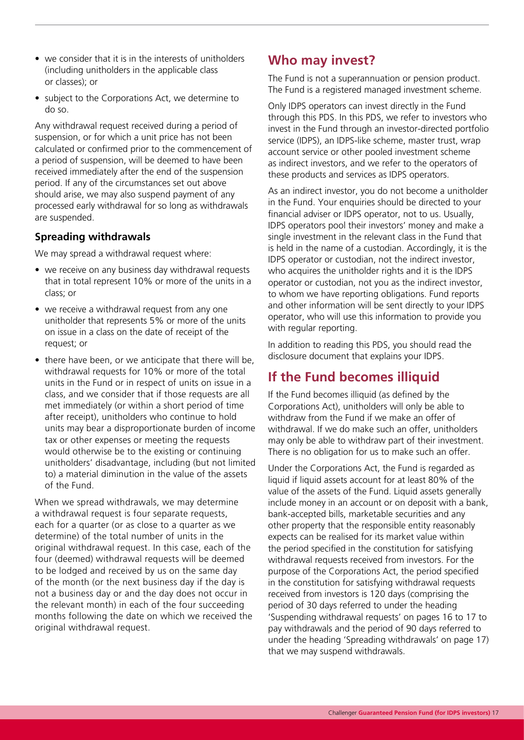- we consider that it is in the interests of unitholders (including unitholders in the applicable class or classes); or
- subject to the Corporations Act, we determine to do so.

Any withdrawal request received during a period of suspension, or for which a unit price has not been calculated or confirmed prior to the commencement of a period of suspension, will be deemed to have been received immediately after the end of the suspension period. If any of the circumstances set out above should arise, we may also suspend payment of any processed early withdrawal for so long as withdrawals are suspended.

#### **Spreading withdrawals**

We may spread a withdrawal request where:

- we receive on any business day withdrawal requests that in total represent 10% or more of the units in a class; or
- we receive a withdrawal request from any one unitholder that represents 5% or more of the units on issue in a class on the date of receipt of the request; or
- there have been, or we anticipate that there will be, withdrawal requests for 10% or more of the total units in the Fund or in respect of units on issue in a class, and we consider that if those requests are all met immediately (or within a short period of time after receipt), unitholders who continue to hold units may bear a disproportionate burden of income tax or other expenses or meeting the requests would otherwise be to the existing or continuing unitholders' disadvantage, including (but not limited to) a material diminution in the value of the assets of the Fund.

When we spread withdrawals, we may determine a withdrawal request is four separate requests, each for a quarter (or as close to a quarter as we determine) of the total number of units in the original withdrawal request. In this case, each of the four (deemed) withdrawal requests will be deemed to be lodged and received by us on the same day of the month (or the next business day if the day is not a business day or and the day does not occur in the relevant month) in each of the four succeeding months following the date on which we received the original withdrawal request.

## **Who may invest?**

The Fund is not a superannuation or pension product. The Fund is a registered managed investment scheme.

Only IDPS operators can invest directly in the Fund through this PDS. In this PDS, we refer to investors who invest in the Fund through an investor-directed portfolio service (IDPS), an IDPS-like scheme, master trust, wrap account service or other pooled investment scheme as indirect investors, and we refer to the operators of these products and services as IDPS operators.

As an indirect investor, you do not become a unitholder in the Fund. Your enquiries should be directed to your financial adviser or IDPS operator, not to us. Usually, IDPS operators pool their investors' money and make a single investment in the relevant class in the Fund that is held in the name of a custodian. Accordingly, it is the IDPS operator or custodian, not the indirect investor, who acquires the unitholder rights and it is the IDPS operator or custodian, not you as the indirect investor, to whom we have reporting obligations. Fund reports and other information will be sent directly to your IDPS operator, who will use this information to provide you with regular reporting.

In addition to reading this PDS, you should read the disclosure document that explains your IDPS.

## **If the Fund becomes illiquid**

If the Fund becomes illiquid (as defined by the Corporations Act), unitholders will only be able to withdraw from the Fund if we make an offer of withdrawal. If we do make such an offer, unitholders may only be able to withdraw part of their investment. There is no obligation for us to make such an offer.

Under the Corporations Act, the Fund is regarded as liquid if liquid assets account for at least 80% of the value of the assets of the Fund. Liquid assets generally include money in an account or on deposit with a bank, bank-accepted bills, marketable securities and any other property that the responsible entity reasonably expects can be realised for its market value within the period specified in the constitution for satisfying withdrawal requests received from investors. For the purpose of the Corporations Act, the period specified in the constitution for satisfying withdrawal requests received from investors is 120 days (comprising the period of 30 days referred to under the heading 'Suspending withdrawal requests' on pages 16 to 17 to pay withdrawals and the period of 90 days referred to under the heading 'Spreading withdrawals' on page 17) that we may suspend withdrawals.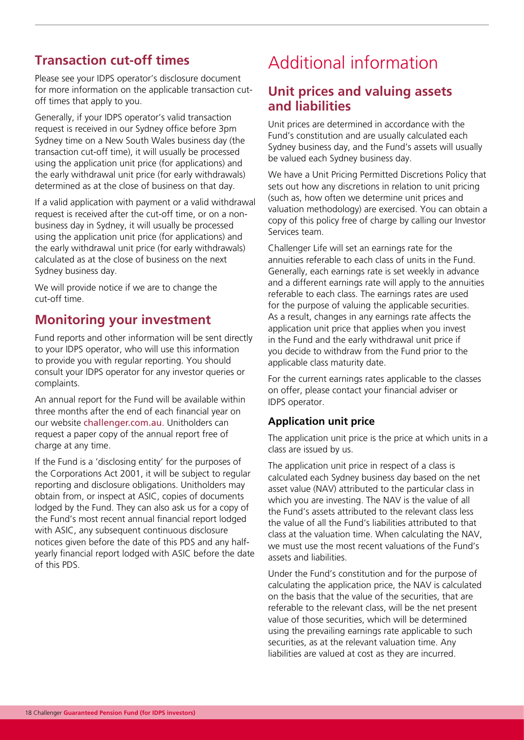## **Transaction cut-off times**

Please see your IDPS operator's disclosure document for more information on the applicable transaction cutoff times that apply to you.

Generally, if your IDPS operator's valid transaction request is received in our Sydney office before 3pm Sydney time on a New South Wales business day (the transaction cut-off time), it will usually be processed using the application unit price (for applications) and the early withdrawal unit price (for early withdrawals) determined as at the close of business on that day.

If a valid application with payment or a valid withdrawal request is received after the cut-off time, or on a nonbusiness day in Sydney, it will usually be processed using the application unit price (for applications) and the early withdrawal unit price (for early withdrawals) calculated as at the close of business on the next Sydney business day.

We will provide notice if we are to change the cut-off time.

### **Monitoring your investment**

Fund reports and other information will be sent directly to your IDPS operator, who will use this information to provide you with regular reporting. You should consult your IDPS operator for any investor queries or complaints.

An annual report for the Fund will be available within three months after the end of each financial year on our website [challenger.com.au](https://www.challenger.com.au/). Unitholders can request a paper copy of the annual report free of charge at any time.

If the Fund is a 'disclosing entity' for the purposes of the Corporations Act 2001, it will be subject to regular reporting and disclosure obligations. Unitholders may obtain from, or inspect at ASIC, copies of documents lodged by the Fund. They can also ask us for a copy of the Fund's most recent annual financial report lodged with ASIC, any subsequent continuous disclosure notices given before the date of this PDS and any halfyearly financial report lodged with ASIC before the date of this PDS.

## Additional information

### **Unit prices and valuing assets and liabilities**

Unit prices are determined in accordance with the Fund's constitution and are usually calculated each Sydney business day, and the Fund's assets will usually be valued each Sydney business day.

We have a Unit Pricing Permitted Discretions Policy that sets out how any discretions in relation to unit pricing (such as, how often we determine unit prices and valuation methodology) are exercised. You can obtain a copy of this policy free of charge by calling our Investor Services team.

Challenger Life will set an earnings rate for the annuities referable to each class of units in the Fund. Generally, each earnings rate is set weekly in advance and a different earnings rate will apply to the annuities referable to each class. The earnings rates are used for the purpose of valuing the applicable securities. As a result, changes in any earnings rate affects the application unit price that applies when you invest in the Fund and the early withdrawal unit price if you decide to withdraw from the Fund prior to the applicable class maturity date.

For the current earnings rates applicable to the classes on offer, please contact your financial adviser or IDPS operator.

#### **Application unit price**

The application unit price is the price at which units in a class are issued by us.

The application unit price in respect of a class is calculated each Sydney business day based on the net asset value (NAV) attributed to the particular class in which you are investing. The NAV is the value of all the Fund's assets attributed to the relevant class less the value of all the Fund's liabilities attributed to that class at the valuation time. When calculating the NAV, we must use the most recent valuations of the Fund's assets and liabilities.

Under the Fund's constitution and for the purpose of calculating the application price, the NAV is calculated on the basis that the value of the securities, that are referable to the relevant class, will be the net present value of those securities, which will be determined using the prevailing earnings rate applicable to such securities, as at the relevant valuation time. Any liabilities are valued at cost as they are incurred.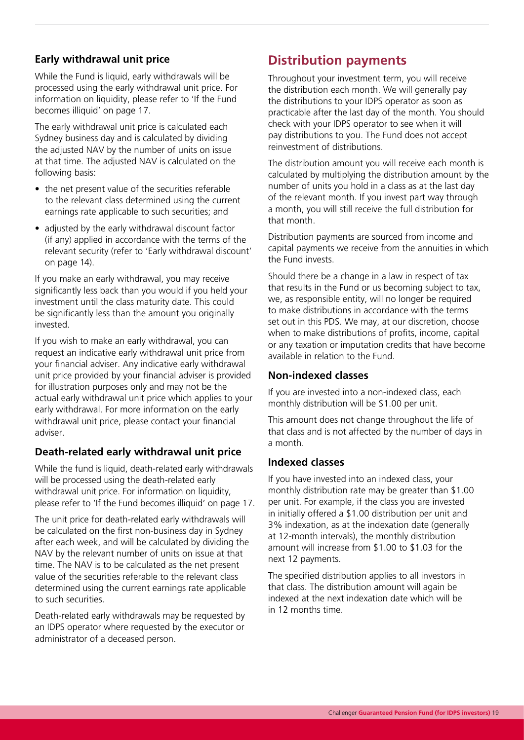#### **Early withdrawal unit price**

While the Fund is liquid, early withdrawals will be processed using the early withdrawal unit price. For information on liquidity, please refer to 'If the Fund becomes illiquid' on page 17.

The early withdrawal unit price is calculated each Sydney business day and is calculated by dividing the adjusted NAV by the number of units on issue at that time. The adjusted NAV is calculated on the following basis:

- the net present value of the securities referable to the relevant class determined using the current earnings rate applicable to such securities; and
- adjusted by the early withdrawal discount factor (if any) applied in accordance with the terms of the relevant security (refer to 'Early withdrawal discount' on page 14).

If you make an early withdrawal, you may receive significantly less back than you would if you held your investment until the class maturity date. This could be significantly less than the amount you originally invested.

If you wish to make an early withdrawal, you can request an indicative early withdrawal unit price from your financial adviser. Any indicative early withdrawal unit price provided by your financial adviser is provided for illustration purposes only and may not be the actual early withdrawal unit price which applies to your early withdrawal. For more information on the early withdrawal unit price, please contact your financial adviser.

#### **Death-related early withdrawal unit price**

While the fund is liquid, death-related early withdrawals will be processed using the death-related early withdrawal unit price. For information on liquidity, please refer to 'If the Fund becomes illiquid' on page 17.

The unit price for death-related early withdrawals will be calculated on the first non-business day in Sydney after each week, and will be calculated by dividing the NAV by the relevant number of units on issue at that time. The NAV is to be calculated as the net present value of the securities referable to the relevant class determined using the current earnings rate applicable to such securities.

Death-related early withdrawals may be requested by an IDPS operator where requested by the executor or administrator of a deceased person.

## **Distribution payments**

Throughout your investment term, you will receive the distribution each month. We will generally pay the distributions to your IDPS operator as soon as practicable after the last day of the month. You should check with your IDPS operator to see when it will pay distributions to you. The Fund does not accept reinvestment of distributions.

The distribution amount you will receive each month is calculated by multiplying the distribution amount by the number of units you hold in a class as at the last day of the relevant month. If you invest part way through a month, you will still receive the full distribution for that month.

Distribution payments are sourced from income and capital payments we receive from the annuities in which the Fund invests.

Should there be a change in a law in respect of tax that results in the Fund or us becoming subject to tax, we, as responsible entity, will no longer be required to make distributions in accordance with the terms set out in this PDS. We may, at our discretion, choose when to make distributions of profits, income, capital or any taxation or imputation credits that have become available in relation to the Fund.

#### **Non-indexed classes**

If you are invested into a non-indexed class, each monthly distribution will be \$1.00 per unit.

This amount does not change throughout the life of that class and is not affected by the number of days in a month.

#### **Indexed classes**

If you have invested into an indexed class, your monthly distribution rate may be greater than \$1.00 per unit. For example, if the class you are invested in initially offered a \$1.00 distribution per unit and 3% indexation, as at the indexation date (generally at 12-month intervals), the monthly distribution amount will increase from \$1.00 to \$1.03 for the next 12 payments.

The specified distribution applies to all investors in that class. The distribution amount will again be indexed at the next indexation date which will be in 12 months time.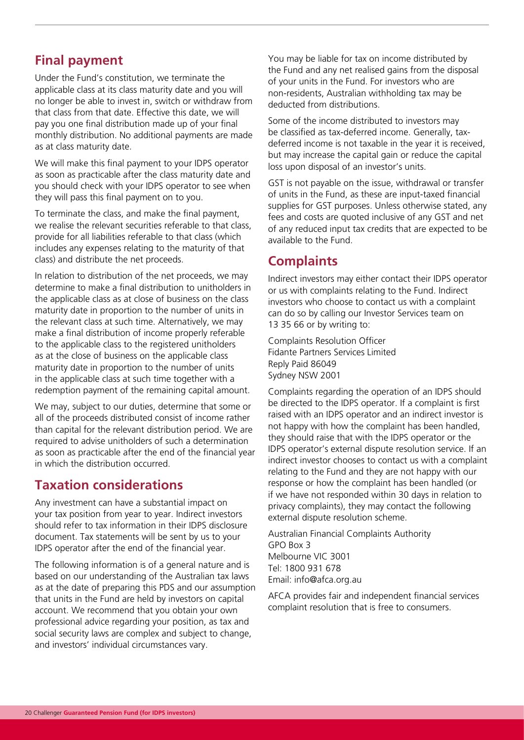## **Final payment**

Under the Fund's constitution, we terminate the applicable class at its class maturity date and you will no longer be able to invest in, switch or withdraw from that class from that date. Effective this date, we will pay you one final distribution made up of your final monthly distribution. No additional payments are made as at class maturity date.

We will make this final payment to your IDPS operator as soon as practicable after the class maturity date and you should check with your IDPS operator to see when they will pass this final payment on to you.

To terminate the class, and make the final payment, we realise the relevant securities referable to that class, provide for all liabilities referable to that class (which includes any expenses relating to the maturity of that class) and distribute the net proceeds.

In relation to distribution of the net proceeds, we may determine to make a final distribution to unitholders in the applicable class as at close of business on the class maturity date in proportion to the number of units in the relevant class at such time. Alternatively, we may make a final distribution of income properly referable to the applicable class to the registered unitholders as at the close of business on the applicable class maturity date in proportion to the number of units in the applicable class at such time together with a redemption payment of the remaining capital amount.

We may, subject to our duties, determine that some or all of the proceeds distributed consist of income rather than capital for the relevant distribution period. We are required to advise unitholders of such a determination as soon as practicable after the end of the financial year in which the distribution occurred.

### **Taxation considerations**

Any investment can have a substantial impact on your tax position from year to year. Indirect investors should refer to tax information in their IDPS disclosure document. Tax statements will be sent by us to your IDPS operator after the end of the financial year.

The following information is of a general nature and is based on our understanding of the Australian tax laws as at the date of preparing this PDS and our assumption that units in the Fund are held by investors on capital account. We recommend that you obtain your own professional advice regarding your position, as tax and social security laws are complex and subject to change, and investors' individual circumstances vary.

You may be liable for tax on income distributed by the Fund and any net realised gains from the disposal of your units in the Fund. For investors who are non-residents, Australian withholding tax may be deducted from distributions.

Some of the income distributed to investors may be classified as tax-deferred income. Generally, taxdeferred income is not taxable in the year it is received, but may increase the capital gain or reduce the capital loss upon disposal of an investor's units.

GST is not payable on the issue, withdrawal or transfer of units in the Fund, as these are input-taxed financial supplies for GST purposes. Unless otherwise stated, any fees and costs are quoted inclusive of any GST and net of any reduced input tax credits that are expected to be available to the Fund.

## **Complaints**

Indirect investors may either contact their IDPS operator or us with complaints relating to the Fund. Indirect investors who choose to contact us with a complaint can do so by calling our Investor Services team on 13 35 66 or by writing to:

Complaints Resolution Officer Fidante Partners Services Limited Reply Paid 86049 Sydney NSW 2001

Complaints regarding the operation of an IDPS should be directed to the IDPS operator. If a complaint is first raised with an IDPS operator and an indirect investor is not happy with how the complaint has been handled, they should raise that with the IDPS operator or the IDPS operator's external dispute resolution service. If an indirect investor chooses to contact us with a complaint relating to the Fund and they are not happy with our response or how the complaint has been handled (or if we have not responded within 30 days in relation to privacy complaints), they may contact the following external dispute resolution scheme.

Australian Financial Complaints Authority GPO Box 3 Melbourne VIC 3001 Tel: 1800 931 678 Email: info@afca.org.au

AFCA provides fair and independent financial services complaint resolution that is free to consumers.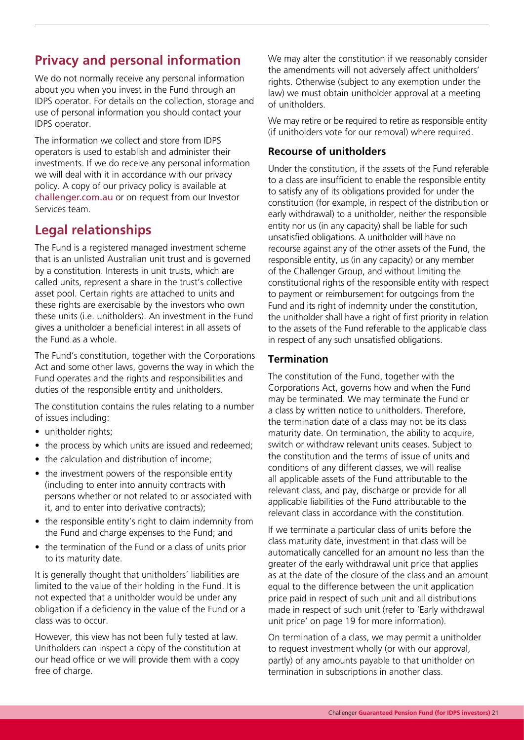## **Privacy and personal information**

We do not normally receive any personal information about you when you invest in the Fund through an IDPS operator. For details on the collection, storage and use of personal information you should contact your IDPS operator.

The information we collect and store from IDPS operators is used to establish and administer their investments. If we do receive any personal information we will deal with it in accordance with our privacy policy. A copy of our privacy policy is available at [challenger.com.au](https://www.challenger.com.au/) or on request from our Investor Services team.

## **Legal relationships**

The Fund is a registered managed investment scheme that is an unlisted Australian unit trust and is governed by a constitution. Interests in unit trusts, which are called units, represent a share in the trust's collective asset pool. Certain rights are attached to units and these rights are exercisable by the investors who own these units (i.e. unitholders). An investment in the Fund gives a unitholder a beneficial interest in all assets of the Fund as a whole.

The Fund's constitution, together with the Corporations Act and some other laws, governs the way in which the Fund operates and the rights and responsibilities and duties of the responsible entity and unitholders.

The constitution contains the rules relating to a number of issues including:

- unitholder rights;
- the process by which units are issued and redeemed;
- the calculation and distribution of income:
- the investment powers of the responsible entity (including to enter into annuity contracts with persons whether or not related to or associated with it, and to enter into derivative contracts);
- the responsible entity's right to claim indemnity from the Fund and charge expenses to the Fund; and
- the termination of the Fund or a class of units prior to its maturity date.

It is generally thought that unitholders' liabilities are limited to the value of their holding in the Fund. It is not expected that a unitholder would be under any obligation if a deficiency in the value of the Fund or a class was to occur.

However, this view has not been fully tested at law. Unitholders can inspect a copy of the constitution at our head office or we will provide them with a copy free of charge.

We may alter the constitution if we reasonably consider the amendments will not adversely affect unitholders' rights. Otherwise (subject to any exemption under the law) we must obtain unitholder approval at a meeting of unitholders.

We may retire or be required to retire as responsible entity (if unitholders vote for our removal) where required.

#### **Recourse of unitholders**

Under the constitution, if the assets of the Fund referable to a class are insufficient to enable the responsible entity to satisfy any of its obligations provided for under the constitution (for example, in respect of the distribution or early withdrawal) to a unitholder, neither the responsible entity nor us (in any capacity) shall be liable for such unsatisfied obligations. A unitholder will have no recourse against any of the other assets of the Fund, the responsible entity, us (in any capacity) or any member of the Challenger Group, and without limiting the constitutional rights of the responsible entity with respect to payment or reimbursement for outgoings from the Fund and its right of indemnity under the constitution, the unitholder shall have a right of first priority in relation to the assets of the Fund referable to the applicable class in respect of any such unsatisfied obligations.

#### **Termination**

The constitution of the Fund, together with the Corporations Act, governs how and when the Fund may be terminated. We may terminate the Fund or a class by written notice to unitholders. Therefore, the termination date of a class may not be its class maturity date. On termination, the ability to acquire, switch or withdraw relevant units ceases. Subject to the constitution and the terms of issue of units and conditions of any different classes, we will realise all applicable assets of the Fund attributable to the relevant class, and pay, discharge or provide for all applicable liabilities of the Fund attributable to the relevant class in accordance with the constitution.

If we terminate a particular class of units before the class maturity date, investment in that class will be automatically cancelled for an amount no less than the greater of the early withdrawal unit price that applies as at the date of the closure of the class and an amount equal to the difference between the unit application price paid in respect of such unit and all distributions made in respect of such unit (refer to 'Early withdrawal unit price' on page 19 for more information).

On termination of a class, we may permit a unitholder to request investment wholly (or with our approval, partly) of any amounts payable to that unitholder on termination in subscriptions in another class.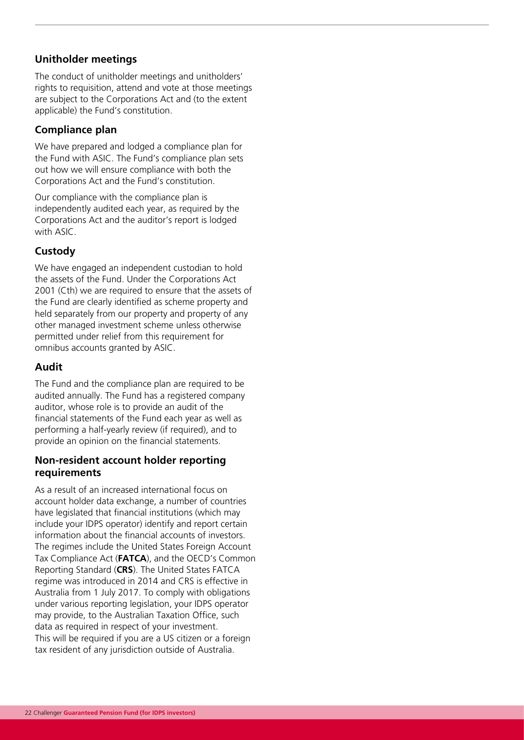#### **Unitholder meetings**

The conduct of unitholder meetings and unitholders' rights to requisition, attend and vote at those meetings are subject to the Corporations Act and (to the extent applicable) the Fund's constitution.

#### **Compliance plan**

We have prepared and lodged a compliance plan for the Fund with ASIC. The Fund's compliance plan sets out how we will ensure compliance with both the Corporations Act and the Fund's constitution.

Our compliance with the compliance plan is independently audited each year, as required by the Corporations Act and the auditor's report is lodged with ASIC.

#### **Custody**

We have engaged an independent custodian to hold the assets of the Fund. Under the Corporations Act 2001 (Cth) we are required to ensure that the assets of the Fund are clearly identified as scheme property and held separately from our property and property of any other managed investment scheme unless otherwise permitted under relief from this requirement for omnibus accounts granted by ASIC.

#### **Audit**

The Fund and the compliance plan are required to be audited annually. The Fund has a registered company auditor, whose role is to provide an audit of the financial statements of the Fund each year as well as performing a half-yearly review (if required), and to provide an opinion on the financial statements.

#### **Non-resident account holder reporting requirements**

As a result of an increased international focus on account holder data exchange, a number of countries have legislated that financial institutions (which may include your IDPS operator) identify and report certain information about the financial accounts of investors. The regimes include the United States Foreign Account Tax Compliance Act (**FATCA**), and the OECD's Common Reporting Standard (**CRS**). The United States FATCA regime was introduced in 2014 and CRS is effective in Australia from 1 July 2017. To comply with obligations under various reporting legislation, your IDPS operator may provide, to the Australian Taxation Office, such data as required in respect of your investment. This will be required if you are a US citizen or a foreign tax resident of any jurisdiction outside of Australia.